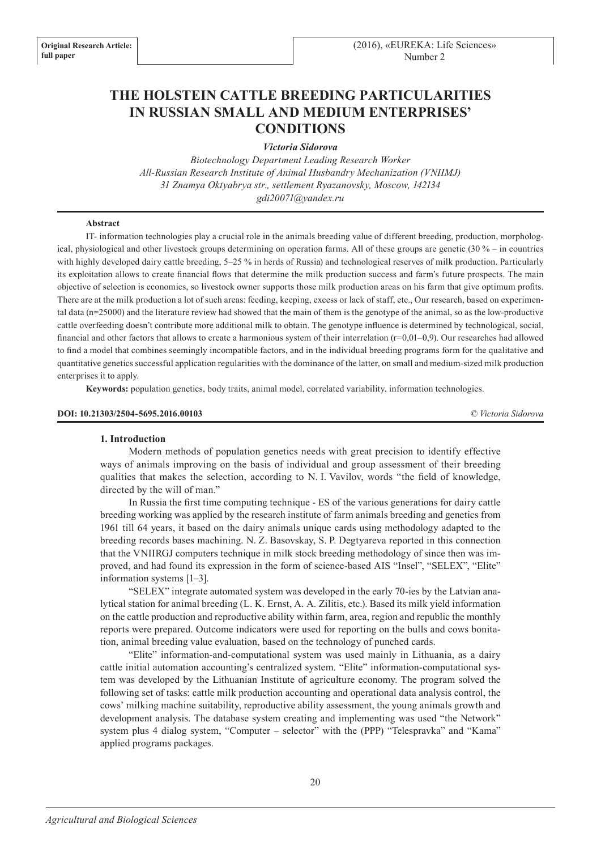# **THE HOLSTEIN CATTLE BREEDING PARTICULARITIES IN RUSSIAN SMALL AND MEDIUM ENTERPRISES' CONDITIONS**

*Victoria Sidorova* 

*Biotechnology Department Leading Research Worker All-Russian Research Institute of Animal Husbandry Mechanization (VNIIMJ) 31 Znamya Oktyabrya str., settlement Ryazanovsky, Moscow, 142134 gdi20071@yandex.ru*

#### **Abstract**

IT- information technologies play a crucial role in the animals breeding value of different breeding, production, morphological, physiological and other livestock groups determining on operation farms. All of these groups are genetic (30 % – in countries with highly developed dairy cattle breeding, 5–25 % in herds of Russia) and technological reserves of milk production. Particularly its exploitation allows to create financial flows that determine the milk production success and farm's future prospects. The main objective of selection is economics, so livestock owner supports those milk production areas on his farm that give optimum profits. There are at the milk production a lot of such areas: feeding, keeping, excess or lack of staff, etc., Our research, based on experimental data (n=25000) and the literature review had showed that the main of them is the genotype of the animal, so as the low-productive cattle overfeeding doesn't contribute more additional milk to obtain. The genotype influence is determined by technological, social, financial and other factors that allows to create a harmonious system of their interrelation  $(r=0.01-0.9)$ . Our researches had allowed to find a model that combines seemingly incompatible factors, and in the individual breeding programs form for the qualitative and quantitative genetics successful application regularities with the dominance of the latter, on small and medium-sized milk production enterprises it to apply.

**Keywords:** population genetics, body traits, animal model, correlated variability, information technologies.

#### **DOI: 10.21303/2504-5695.2016.00103** *© Victoria Sidorova*

#### **1. Introduction**

Modern methods of population genetics needs with great precision to identify effective ways of animals improving on the basis of individual and group assessment of their breeding qualities that makes the selection, according to N. I. Vavilov, words "the field of knowledge, directed by the will of man."

In Russia the first time computing technique - ES of the various generations for dairy cattle breeding working was applied by the research institute of farm animals breeding and genetics from 1961 till 64 years, it based on the dairy animals unique cards using methodology adapted to the breeding records bases machining. N. Z. Basovskay, S. P. Degtyareva reported in this connection that the VNIIRGJ computers technique in milk stock breeding methodology of since then was improved, and had found its expression in the form of science-based AIS "Insel", "SELEX", "Elite" information systems [1–3].

"SELEX" integrate automated system was developed in the early 70-ies by the Latvian analytical station for animal breeding (L. K. Ernst, A. A. Zilitis, etc.). Based its milk yield information on the cattle production and reproductive ability within farm, area, region and republic the monthly reports were prepared. Outcome indicators were used for reporting on the bulls and cows bonitation, animal breeding value evaluation, based on the technology of punched cards.

"Elite" information-and-computational system was used mainly in Lithuania, as a dairy cattle initial automation accounting's centralized system. "Elite" information-computational system was developed by the Lithuanian Institute of agriculture economy. The program solved the following set of tasks: cattle milk production accounting and operational data analysis control, the cows' milking machine suitability, reproductive ability assessment, the young animals growth and development analysis. The database system creating and implementing was used "the Network" system plus 4 dialog system, "Computer – selector" with the (PPP) "Telespravka" and "Kama" applied programs packages.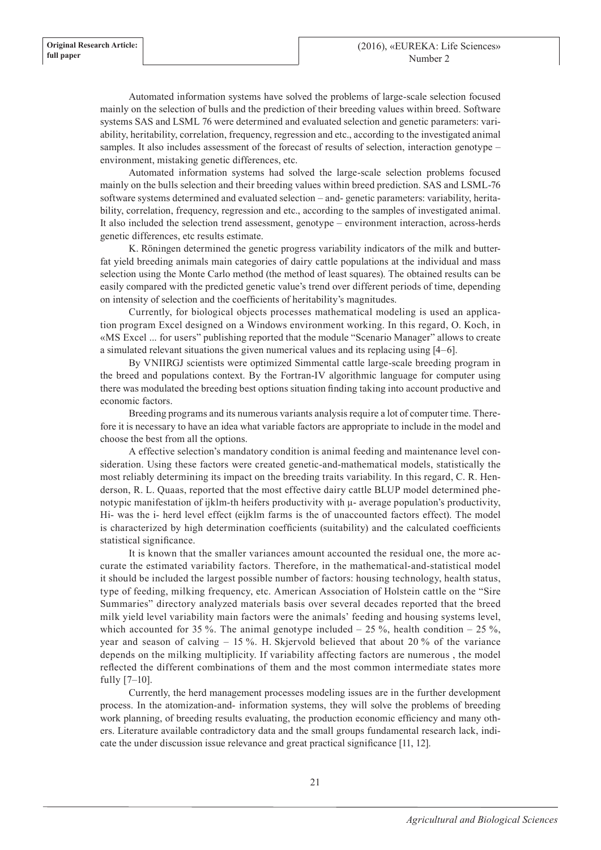Automated information systems have solved the problems of large-scale selection focused mainly on the selection of bulls and the prediction of their breeding values within breed. Software systems SAS and LSML 76 were determined and evaluated selection and genetic parameters: variability, heritability, correlation, frequency, regression and etc., according to the investigated animal samples. It also includes assessment of the forecast of results of selection, interaction genotype – environment, mistaking genetic differences, etc.

Automated information systems had solved the large-scale selection problems focused mainly on the bulls selection and their breeding values within breed prediction. SAS and LSML-76 software systems determined and evaluated selection – and- genetic parameters: variability, heritability, correlation, frequency, regression and etc., according to the samples of investigated animal. It also included the selection trend assessment, genotype – environment interaction, across-herds genetic differences, etc results estimate.

K. Röningen determined the genetic progress variability indicators of the milk and butterfat yield breeding animals main categories of dairy cattle populations at the individual and mass selection using the Monte Carlo method (the method of least squares). The obtained results can be easily compared with the predicted genetic value's trend over different periods of time, depending on intensity of selection and the coefficients of heritability's magnitudes.

Currently, for biological objects processes mathematical modeling is used an application program Excel designed on a Windows environment working. In this regard, O. Koch, in «MS Excel ... for users" publishing reported that the module "Scenario Manager" allows to create a simulated relevant situations the given numerical values and its replacing using [4–6].

By VNIIRGJ scientists were optimized Simmental cattle large-scale breeding program in the breed and populations context. By the Fortran-IV algorithmic language for computer using there was modulated the breeding best options situation finding taking into account productive and economic factors.

Breeding programs and its numerous variants analysis require a lot of computer time. Therefore it is necessary to have an idea what variable factors are appropriate to include in the model and choose the best from all the options.

A effective selection's mandatory condition is animal feeding and maintenance level consideration. Using these factors were created genetic-and-mathematical models, statistically the most reliably determining its impact on the breeding traits variability. In this regard, C. R. Henderson, R. L. Quaas, reported that the most effective dairy cattle BLUP model determined phenotypic manifestation of ijklm-th heifers productivity with µ- average population's productivity, Hi- was the i- herd level effect (eijklm farms is the of unaccounted factors effect). The model is characterized by high determination coefficients (suitability) and the calculated coefficients statistical significance.

It is known that the smaller variances amount accounted the residual one, the more accurate the estimated variability factors. Therefore, in the mathematical-and-statistical model it should be included the largest possible number of factors: housing technology, health status, type of feeding, milking frequency, etc. American Association of Holstein cattle on the "Sire Summaries" directory analyzed materials basis over several decades reported that the breed milk yield level variability main factors were the animals' feeding and housing systems level, which accounted for 35 %. The animal genotype included  $- 25$  %, health condition  $- 25$  %, year and season of calving – 15 %. H. Skjervold believed that about 20 % of the variance depends on the milking multiplicity. If variability affecting factors are numerous , the model reflected the different combinations of them and the most common intermediate states more fully [7–10].

Currently, the herd management processes modeling issues are in the further development process. In the atomization-and- information systems, they will solve the problems of breeding work planning, of breeding results evaluating, the production economic efficiency and many others. Literature available contradictory data and the small groups fundamental research lack, indicate the under discussion issue relevance and great practical significance [11, 12].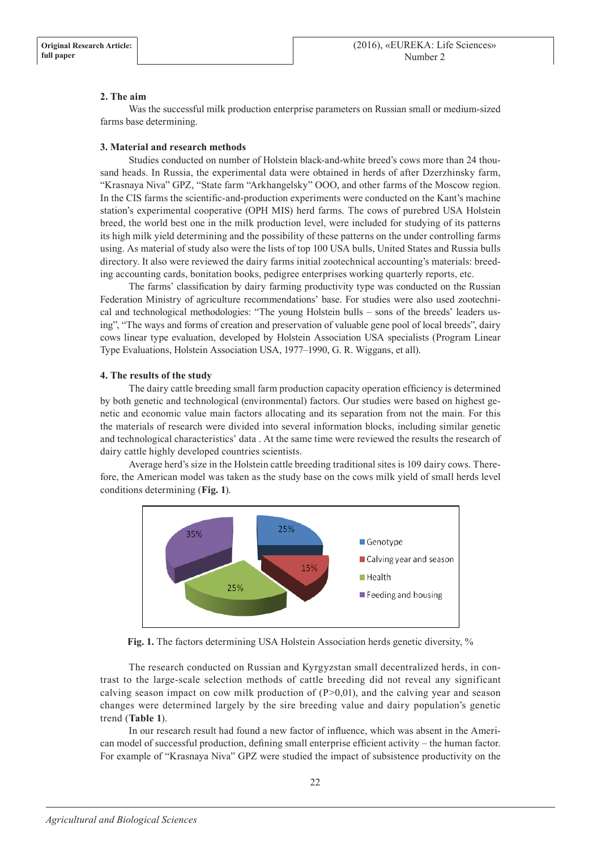### **2. The aim**

Was the successful milk production enterprise parameters on Russian small or medium-sized farms base determining.

### **3. Material and research methods**

Studies conducted on number of Holstein black-and-white breed's cows more than 24 thousand heads. In Russia, the experimental data were obtained in herds of after Dzerzhinsky farm, "Krasnaya Niva" GPZ, "State farm "Arkhangelsky" OOO, and other farms of the Moscow region. In the CIS farms the scientific-and-production experiments were conducted on the Kant's machine station's experimental cooperative (OPH MIS) herd farms. The cows of purebred USA Holstein breed, the world best one in the milk production level, were included for studying of its patterns its high milk yield determining and the possibility of these patterns on the under controlling farms using. As material of study also were the lists of top 100 USA bulls, United States and Russia bulls directory. It also were reviewed the dairy farms initial zootechnical accounting's materials: breeding accounting cards, bonitation books, pedigree enterprises working quarterly reports, etc.

The farms' classification by dairy farming productivity type was conducted on the Russian Federation Ministry of agriculture recommendations' base. For studies were also used zootechnical and technological methodologies: "The young Holstein bulls – sons of the breeds' leaders using", "The ways and forms of creation and preservation of valuable gene pool of local breeds", dairy cows linear type evaluation, developed by Holstein Association USA specialists (Program Linear Type Evaluations, Holstein Association USA, 1977–1990, G. R. Wiggans, et all).

### **4. The results of the study**

The dairy cattle breeding small farm production capacity operation efficiency is determined by both genetic and technological (environmental) factors. Our studies were based on highest genetic and economic value main factors allocating and its separation from not the main. For this the materials of research were divided into several information blocks, including similar genetic and technological characteristics' data . At the same time were reviewed the results the research of dairy cattle highly developed countries scientists.

Average herd's size in the Holstein cattle breeding traditional sites is 109 dairy cows. Therefore, the American model was taken as the study base on the cows milk yield of small herds level conditions determining (**Fig. 1**).



**Fig. 1.** The factors determining USA Holstein Association herds genetic diversity, %

The research conducted on Russian and Kyrgyzstan small decentralized herds, in contrast to the large-scale selection methods of cattle breeding did not reveal any significant calving season impact on cow milk production of  $(P>0,01)$ , and the calving year and season changes were determined largely by the sire breeding value and dairy population's genetic trend (**Table 1**).

In our research result had found a new factor of influence, which was absent in the American model of successful production, defining small enterprise efficient activity – the human factor. For example of "Krasnaya Niva" GPZ were studied the impact of subsistence productivity on the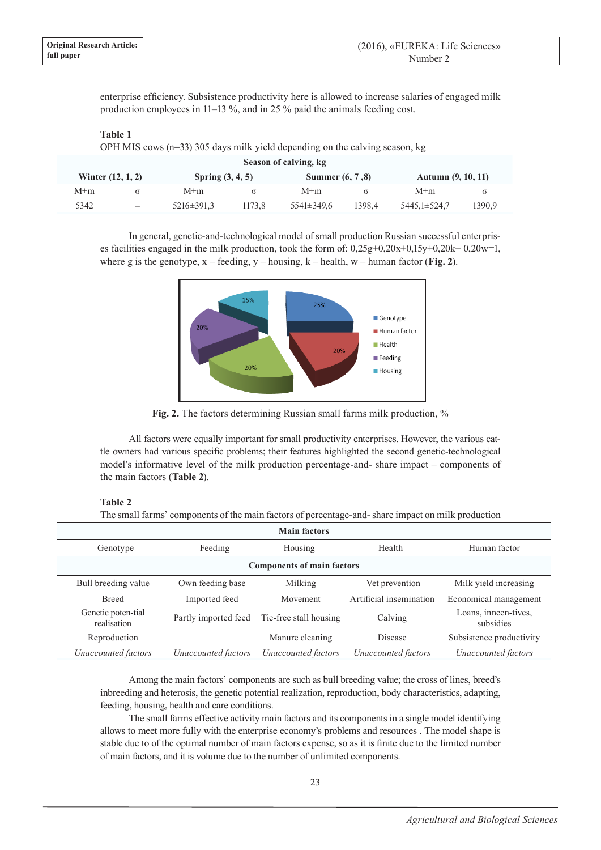**Table 1**

enterprise efficiency. Subsistence productivity here is allowed to increase salaries of engaged milk production employees in 11–13 %, and in 25 % paid the animals feeding cost.

| OPH MIS cows $(n=33)$ 305 days milk yield depending on the calving season, kg |  |                    |        |                  |        |                           |          |  |  |  |  |
|-------------------------------------------------------------------------------|--|--------------------|--------|------------------|--------|---------------------------|----------|--|--|--|--|
| Season of calving, kg                                                         |  |                    |        |                  |        |                           |          |  |  |  |  |
| Winter $(12, 1, 2)$                                                           |  | Spring $(3, 4, 5)$ |        | Summer (6, 7,8)  |        | <b>Autumn</b> (9, 10, 11) |          |  |  |  |  |
| $M \pm m$                                                                     |  | $M \pm m$          | σ      | $M \pm m$        |        | $M \pm m$                 | $\sigma$ |  |  |  |  |
| 5342                                                                          |  | $5216 \pm 391.3$   | 1173.8 | $5541 \pm 349.6$ | 1398.4 | 5445.1±524.7              | 1390.9   |  |  |  |  |

In general, genetic-and-technological model of small production Russian successful enterprises facilities engaged in the milk production, took the form of: 0,25g+0,20x+0,15y+0,20k+ 0,20w=1, where g is the genotype, x – feeding, y – housing, k – health, w – human factor (**Fig. 2**).



**Fig. 2.** The factors determining Russian small farms milk production, %

All factors were equally important for small productivity enterprises. However, the various cattle owners had various specific problems; their features highlighted the second genetic-technological model's informative level of the milk production percentage-and- share impact – components of the main factors (**Table 2**).

## **Table 2**

The small farms' components of the main factors of percentage-and- share impact on milk production

| <b>Main factors</b>               |                      |                        |                         |                                   |  |  |  |  |  |  |  |
|-----------------------------------|----------------------|------------------------|-------------------------|-----------------------------------|--|--|--|--|--|--|--|
| Genotype                          | Feeding              |                        | Health                  | Human factor                      |  |  |  |  |  |  |  |
| <b>Components of main factors</b> |                      |                        |                         |                                   |  |  |  |  |  |  |  |
| Bull breeding value               | Own feeding base     | Milking                | Vet prevention          | Milk yield increasing             |  |  |  |  |  |  |  |
| <b>Breed</b>                      | Imported feed        | Movement               | Artificial insemination | Economical management             |  |  |  |  |  |  |  |
| Genetic poten-tial<br>realisation | Partly imported feed | Tie-free stall housing | Calving                 | Loans, inneen-tives,<br>subsidies |  |  |  |  |  |  |  |
| Reproduction                      |                      | Manure cleaning        | <b>Disease</b>          | Subsistence productivity          |  |  |  |  |  |  |  |
| Unaccounted factors               | Unaccounted factors  | Unaccounted factors    | Unaccounted factors     | Unaccounted factors               |  |  |  |  |  |  |  |

Among the main factors' components are such as bull breeding value; the cross of lines, breed's inbreeding and heterosis, the genetic potential realization, reproduction, body characteristics, adapting, feeding, housing, health and care conditions.

The small farms effective activity main factors and its components in a single model identifying allows to meet more fully with the enterprise economy's problems and resources . The model shape is stable due to of the optimal number of main factors expense, so as it is finite due to the limited number of main factors, and it is volume due to the number of unlimited components.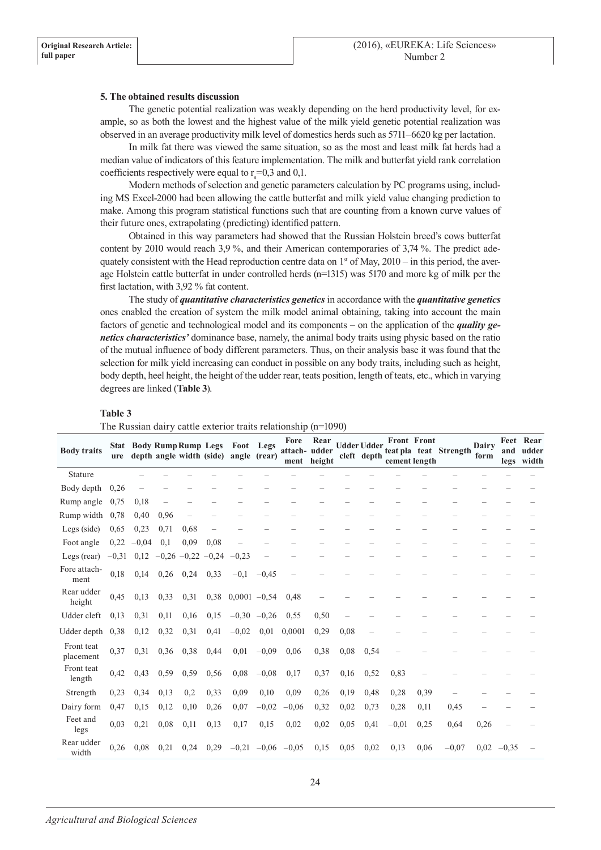#### **5. The obtained results discussion**

The genetic potential realization was weakly depending on the herd productivity level, for example, so as both the lowest and the highest value of the milk yield genetic potential realization was observed in an average productivity milk level of domestics herds such as 5711–6620 kg per lactation.

In milk fat there was viewed the same situation, so as the most and least milk fat herds had a median value of indicators of this feature implementation. The milk and butterfat yield rank correlation coefficients respectively were equal to  $r_s = 0.3$  and 0.1.

Modern methods of selection and genetic parameters calculation by PC programs using, including MS Excel-2000 had been allowing the cattle butterfat and milk yield value changing prediction to make. Among this program statistical functions such that are counting from a known curve values of their future ones, extrapolating (predicting) identified pattern.

Obtained in this way parameters had showed that the Russian Holstein breed's cows butterfat content by 2010 would reach 3,9 %, and their American contemporaries of 3,74 %. The predict adequately consistent with the Head reproduction centre data on  $1<sup>st</sup>$  of May, 2010 – in this period, the average Holstein cattle butterfat in under controlled herds (n=1315) was 5170 and more kg of milk per the first lactation, with 3,92 % fat content.

The study of *quantitative characteristics genetics* in accordance with the *quantitative genetics* ones enabled the creation of system the milk model animal obtaining, taking into account the main factors of genetic and technological model and its components – on the application of the *quality genetics characteristics'* dominance base, namely, the animal body traits using physic based on the ratio of the mutual influence of body different parameters. Thus, on their analysis base it was found that the selection for milk yield increasing can conduct in possible on any body traits, including such as height, body depth, heel height, the height of the udder rear, teats position, length of teats, etc., which in varying degrees are linked (**Table 3**).

| <b>Body traits</b>      | ure  | <b>Stat Body Rump Rump Legs</b>              |      |      |                          | Foot Legs<br>depth angle width (side) angle (rear) |               | Fore<br>attach-udder<br>ment | Rear<br>height |      | <b>Udder Udder</b><br>cleft depth | cement length | <b>Front Front</b> | teat pla teat Strength | Dairy<br>form | and          | Feet Rear<br>udder<br>legs width |
|-------------------------|------|----------------------------------------------|------|------|--------------------------|----------------------------------------------------|---------------|------------------------------|----------------|------|-----------------------------------|---------------|--------------------|------------------------|---------------|--------------|----------------------------------|
| Stature                 |      |                                              |      |      |                          |                                                    |               |                              |                |      |                                   |               |                    |                        |               |              |                                  |
| Body depth              | 0,26 |                                              |      |      |                          |                                                    |               |                              |                |      |                                   |               |                    |                        |               |              |                                  |
| Rump angle              | 0.75 | 0.18                                         |      |      |                          |                                                    |               |                              |                |      |                                   |               |                    |                        |               |              |                                  |
| Rump width              | 0.78 | 0,40                                         | 0.96 |      |                          |                                                    |               |                              |                |      |                                   |               |                    |                        |               |              |                                  |
| Legs (side)             | 0.65 | 0,23                                         | 0,71 | 0.68 | $\overline{\phantom{0}}$ |                                                    |               |                              |                |      |                                   |               |                    |                        |               |              |                                  |
| Foot angle              |      | $0,22 -0,04$                                 | 0,1  | 0,09 | 0.08                     |                                                    |               |                              |                |      |                                   |               |                    |                        |               |              |                                  |
| Legs (rear)             |      | $-0,31$ 0,12 $-0,26$ $-0,22$ $-0,24$ $-0,23$ |      |      |                          |                                                    |               |                              |                |      |                                   |               |                    |                        |               |              |                                  |
| Fore attach-<br>ment    | 0,18 | 0,14                                         | 0,26 | 0,24 | 0.33                     | $-0.1$                                             | $-0.45$       | -                            |                |      |                                   |               |                    |                        |               |              |                                  |
| Rear udder<br>height    | 0,45 | 0,13                                         | 0.33 | 0,31 |                          | $0,38$ $0,0001$ $-0,54$                            |               | 0,48                         |                |      |                                   |               |                    |                        |               |              |                                  |
| Udder cleft             | 0,13 | 0.31                                         | 0,11 | 0.16 | 0.15                     |                                                    | $-0.30 -0.26$ | 0.55                         | 0,50           |      |                                   |               |                    |                        |               |              |                                  |
| Udder depth             | 0.38 | 0,12                                         | 0,32 | 0,31 | 0,41                     | $-0,02$                                            | 0,01          | 0,0001                       | 0,29           | 0.08 |                                   |               |                    |                        |               |              |                                  |
| Front teat<br>placement | 0.37 | 0.31                                         | 0,36 | 0,38 | 0,44                     | 0,01                                               | $-0,09$       | 0.06                         | 0,38           | 0,08 | 0.54                              |               |                    |                        |               |              |                                  |
| Front teat<br>length    | 0,42 | 0.43                                         | 0.59 | 0.59 | 0,56                     | 0.08                                               | $-0,08$       | 0,17                         | 0.37           | 0,16 | 0.52                              | 0.83          |                    |                        |               |              |                                  |
| Strength                | 0,23 | 0.34                                         | 0.13 | 0,2  | 0.33                     | 0.09                                               | 0,10          | 0.09                         | 0,26           | 0,19 | 0,48                              | 0,28          | 0.39               |                        |               |              |                                  |
| Dairy form              | 0,47 | 0,15                                         | 0,12 | 0,10 | 0,26                     | 0,07                                               | $-0,02$       | $-0,06$                      | 0,32           | 0,02 | 0,73                              | 0,28          | 0,11               | 0,45                   |               |              |                                  |
| Feet and<br>legs        | 0.03 | 0,21                                         | 0.08 | 0,11 | 0,13                     | 0,17                                               | 0,15          | 0,02                         | 0,02           | 0,05 | 0,41                              | $-0,01$       | 0,25               | 0.64                   | 0,26          |              |                                  |
| Rear udder<br>width     | 0,26 | 0,08                                         | 0,21 | 0,24 | 0,29                     |                                                    |               | $-0,21$ $-0,06$ $-0,05$      | 0,15           | 0,05 | 0,02                              | 0,13          | 0.06               | $-0.07$                |               | $0,02$ -0,35 |                                  |

#### **Table 3**

The Russian dairy cattle exterior traits relationship (n=1090)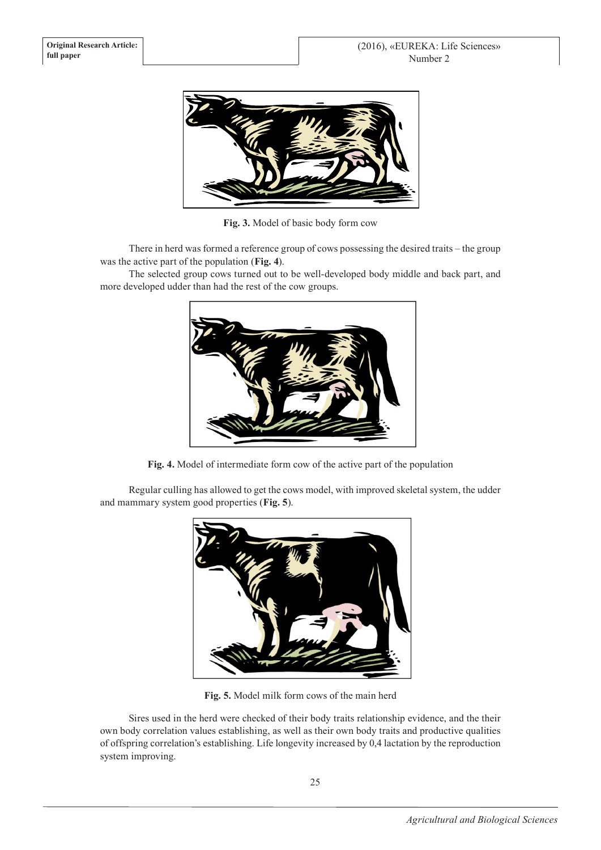

**Fig. 3.** Model of basic body form cow

There in herd was formed a reference group of cows possessing the desired traits – the group was the active part of the population (**Fig. 4**).

The selected group cows turned out to be well-developed body middle and back part, and more developed udder than had the rest of the cow groups.



**Fig. 4.** Model of intermediate form cow of the active part of the population

Regular culling has allowed to get the cows model, with improved skeletal system, the udder and mammary system good properties (**Fig. 5**).



**Fig. 5.** Model milk form cows of the main herd

Sires used in the herd were checked of their body traits relationship evidence, and the their own body correlation values establishing, as well as their own body traits and productive qualities of offspring correlation's establishing. Life longevity increased by 0,4 lactation by the reproduction system improving.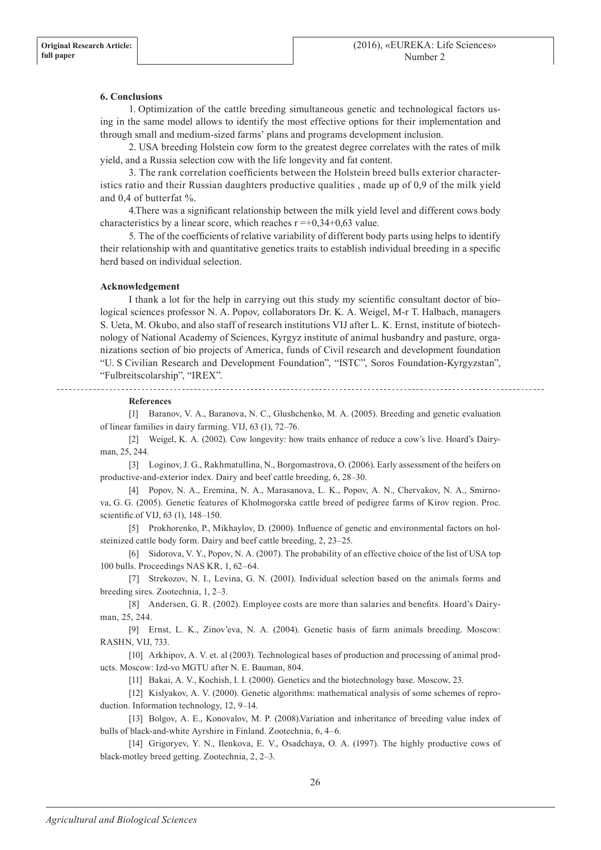#### **6. Conclusions**

1. Optimization of the cattle breeding simultaneous genetic and technological factors using in the same model allows to identify the most effective options for their implementation and through small and medium-sized farms' plans and programs development inclusion.

2. USA breeding Holstein cow form to the greatest degree correlates with the rates of milk yield, and a Russia selection cow with the life longevity and fat content.

3. The rank correlation coefficients between the Holstein breed bulls exterior characteristics ratio and their Russian daughters productive qualities , made up of 0,9 of the milk yield and 0,4 of butterfat %.

4.There was a significant relationship between the milk yield level and different cows body characteristics by a linear score, which reaches  $r = +0.34+0.63$  value.

5. The of the coefficients of relative variability of different body parts using helps to identify their relationship with and quantitative genetics traits to establish individual breeding in a specific herd based on individual selection.

#### **Acknowledgement**

I thank a lot for the help in carrying out this study my scientific consultant doctor of biological sciences professor N. A. Popov, collaborators Dr. K. A. Weigel, M-r T. Halbach, managers S. Ueta, M. Okubo, and also staff of research institutions VIJ after L. K. Ernst, institute of biotechnology of National Academy of Sciences, Kyrgyz institute of animal husbandry and pasture, organizations section of bio projects of America, funds of Civil research and development foundation "U. S Civilian Research and Development Foundation", "ISTC", Soros Foundation-Kyrgyzstan", "Fulbreitscolarship", "IREX".

**References**

[1] Baranov, V. A., Baranova, N. C., Glushchenko, M. A. (2005). Breeding and genetic evaluation of linear families in dairy farming. VIJ, 63 (1), 72–76.

[2] Weigel, K. A. (2002). Cow longevity: how traits enhance of reduce a cow's live. Hoard's Dairyman, 25, 244.

[3] Loginov, J. G., Rakhmatullina, N., Borgomastrova, O. (2006). Early assessment of the heifers on productive-and-exterior index. Dairy and beef cattle breeding, 6, 28–30.

[4] Popov, N. A., Eremina, N. A., Marasanova, L. K., Popov, A. N., Chervakov, N. A., Smirnova, G. G. (2005). Genetic features of Kholmogorska cattle breed of pedigree farms of Kirov region. Proc. scientific.of VIJ, 63 (1), 148–150.

[5] Prokhorenko, P., Mikhaylov, D. (2000). Influence of genetic and environmental factors on holsteinized cattle body form. Dairy and beef cattle breeding, 2, 23–25.

[6] Sidorova, V. Y., Popov, N. A. (2007). The probability of an effective choice of the list of USA top 100 bulls. Proceedings NAS KR, 1, 62–64.

[7] Strekozov, N. I., Levina, G. N. (2001). Individual selection based on the animals forms and breeding sires. Zootechnia, 1, 2–3.

[8] Andersen, G. R. (2002). Employee costs are more than salaries and benefits. Hoard's Dairyman, 25, 244.

[9] Ernst, L. K., Zinov'eva, N. A. (2004). Genetic basis of farm animals breeding. Moscow: RASHN, VIJ, 733.

[10] Arkhipov, A. V. et. al (2003). Technological bases of production and processing of animal products. Moscow: Izd-vo MGTU after N. E. Bauman, 804.

[11] Bakai, A. V., Kochish, I. I. (2000). Genetics and the biotechnology base. Moscow, 23.

[12] Kislyakov, A. V. (2000). Genetic algorithms: mathematical analysis of some schemes of reproduction. Information technology, 12, 9–14.

[13] Bolgov, A. E., Konovalov, M. P. (2008).Variation and inheritance of breeding value index of bulls of black-and-white Ayrshire in Finland. Zootechnia, 6, 4–6.

[14] Grigoryev, Y. N., Ilenkova, E. V., Osadchaya, O. A. (1997). The highly productive cows of black-motley breed getting. Zootechnia, 2, 2–3.